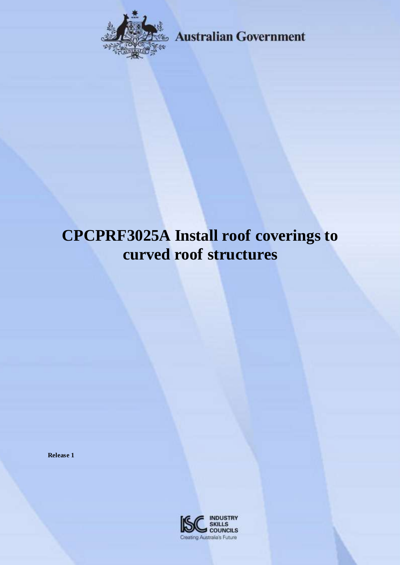

**Externalian Government** 

# **CPCPRF3025A Install roof coverings to curved roof structures**

**Release 1**

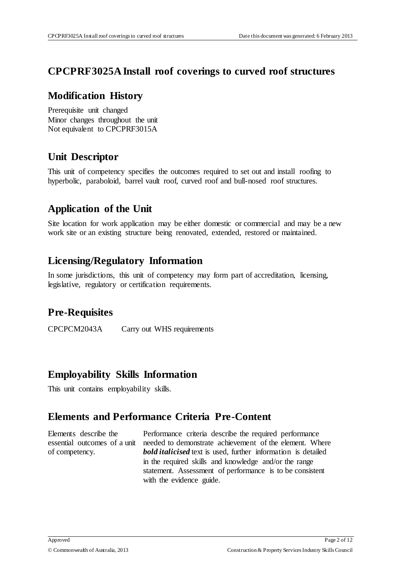#### **CPCPRF3025A Install roof coverings to curved roof structures**

#### **Modification History**

Prerequisite unit changed Minor changes throughout the unit Not equivalent to CPCPRF3015A

## **Unit Descriptor**

This unit of competency specifies the outcomes required to set out and install roofing to hyperbolic, paraboloid, barrel vault roof, curved roof and bull-nosed roof structures.

## **Application of the Unit**

Site location for work application may be either domestic or commercial and may be a new work site or an existing structure being renovated, extended, restored or maintained.

#### **Licensing/Regulatory Information**

In some jurisdictions, this unit of competency may form part of accreditation, licensing, legislative, regulatory or certification requirements.

# **Pre-Requisites**

CPCPCM2043A Carry out WHS requirements

#### **Employability Skills Information**

This unit contains employability skills.

#### **Elements and Performance Criteria Pre-Content**

Elements describe the essential outcomes of a unit of competency.

Performance criteria describe the required performance needed to demonstrate achievement of the element. Where *bold italicised* text is used, further information is detailed in the required skills and knowledge and/or the range statement. Assessment of performance is to be consistent with the evidence guide.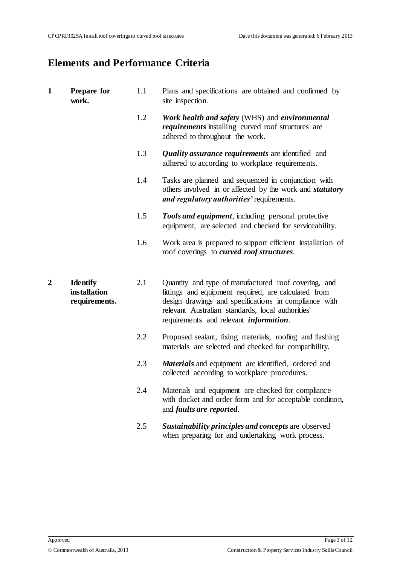# **Elements and Performance Criteria**

| $\mathbf{1}$   | Prepare for<br>work.                                    | 1.1 | Plans and specifications are obtained and confirmed by<br>site inspection.                                                                                                                                                                                                   |
|----------------|---------------------------------------------------------|-----|------------------------------------------------------------------------------------------------------------------------------------------------------------------------------------------------------------------------------------------------------------------------------|
|                |                                                         | 1.2 | Work health and safety (WHS) and environmental<br><i>requirements</i> installing curved roof structures are<br>adhered to throughout the work.                                                                                                                               |
|                |                                                         | 1.3 | Quality assurance requirements are identified and<br>adhered to according to workplace requirements.                                                                                                                                                                         |
|                |                                                         | 1.4 | Tasks are planned and sequenced in conjunction with<br>others involved in or affected by the work and <i>statutory</i><br>and regulatory authorities' requirements.                                                                                                          |
|                |                                                         | 1.5 | <b>Tools and equipment</b> , including personal protective<br>equipment, are selected and checked for serviceability.                                                                                                                                                        |
|                |                                                         | 1.6 | Work area is prepared to support efficient installation of<br>roof coverings to curved roof structures.                                                                                                                                                                      |
| $\overline{2}$ | <b>Identify</b><br><b>installation</b><br>requirements. | 2.1 | Quantity and type of manufactured roof covering, and<br>fittings and equipment required, are calculated from<br>design drawings and specifications in compliance with<br>relevant Australian standards, local authorities'<br>requirements and relevant <i>information</i> . |
|                |                                                         | 2.2 | Proposed sealant, fixing materials, roofing and flashing<br>materials are selected and checked for compatibility.                                                                                                                                                            |
|                |                                                         | 2.3 | <b>Materials</b> and equipment are identified, ordered and<br>collected according to workplace procedures.                                                                                                                                                                   |
|                |                                                         | 2.4 | Materials and equipment are checked for compliance<br>with docket and order form and for acceptable condition,<br>and <i>faults</i> are reported.                                                                                                                            |
|                |                                                         | 2.5 | Sustainability principles and concepts are observed<br>when preparing for and undertaking work process.                                                                                                                                                                      |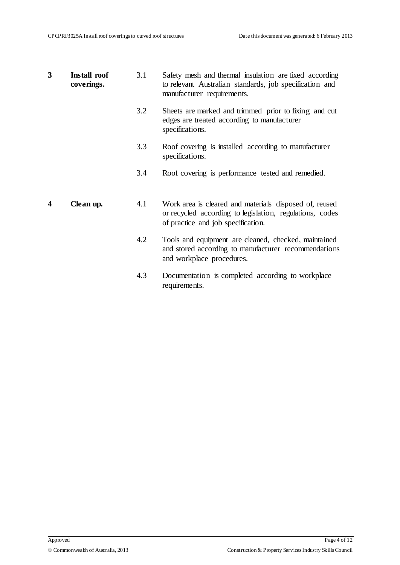| 3 | Install roof<br>coverings. | 3.1 | Safety mesh and thermal insulation are fixed according<br>to relevant Australian standards, job specification and<br>manufacturer requirements.          |
|---|----------------------------|-----|----------------------------------------------------------------------------------------------------------------------------------------------------------|
|   |                            | 3.2 | Sheets are marked and trimmed prior to fixing and cut<br>edges are treated according to manufacturer<br>specifications.                                  |
|   |                            | 3.3 | Roof covering is installed according to manufacturer<br>specifications.                                                                                  |
|   |                            | 3.4 | Roof covering is performance tested and remedied.                                                                                                        |
| 4 | Clean up.                  | 4.1 | Work area is cleared and materials disposed of, reused<br>or recycled according to legislation, regulations, codes<br>of practice and job specification. |
|   |                            | 4.2 | Tools and equipment are cleaned, checked, maintained<br>and stored according to manufacturer recommendations<br>and workplace procedures.                |
|   |                            | 4.3 | Documentation is completed according to workplace<br>requirements.                                                                                       |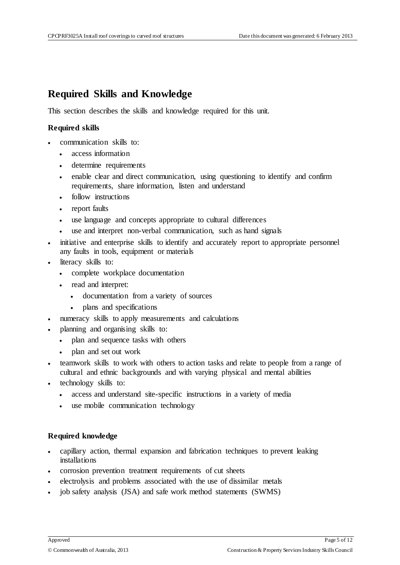#### **Required Skills and Knowledge**

This section describes the skills and knowledge required for this unit.

#### **Required skills**

- communication skills to:
	- access information
	- determine requirements
	- enable clear and direct communication, using questioning to identify and confirm requirements, share information, listen and understand
	- follow instructions
	- report faults
	- use language and concepts appropriate to cultural differences
	- use and interpret non-verbal communication, such as hand signals
- initiative and enterprise skills to identify and accurately report to appropriate personnel any faults in tools, equipment or materials
- literacy skills to:
	- complete workplace documentation
	- read and interpret:
		- documentation from a variety of sources
		- plans and specifications
- numeracy skills to apply measurements and calculations
- planning and organising skills to:
	- plan and sequence tasks with others
	- plan and set out work
- teamwork skills to work with others to action tasks and relate to people from a range of cultural and ethnic backgrounds and with varying physical and mental abilities
- technology skills to:
	- access and understand site-specific instructions in a variety of media
	- use mobile communication technology

#### **Required knowledge**

- capillary action, thermal expansion and fabrication techniques to prevent leaking installations
- corrosion prevention treatment requirements of cut sheets
- electrolysis and problems associated with the use of dissimilar metals
- job safety analysis (JSA) and safe work method statements (SWMS)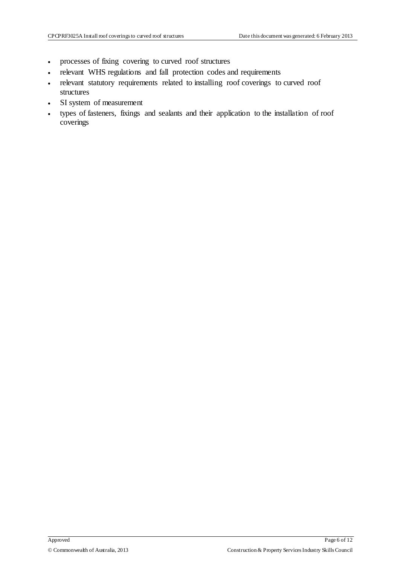- processes of fixing covering to curved roof structures
- relevant WHS regulations and fall protection codes and requirements
- relevant statutory requirements related to installing roof coverings to curved roof structures
- SI system of measurement
- types of fasteners, fixings and sealants and their application to the installation of roof coverings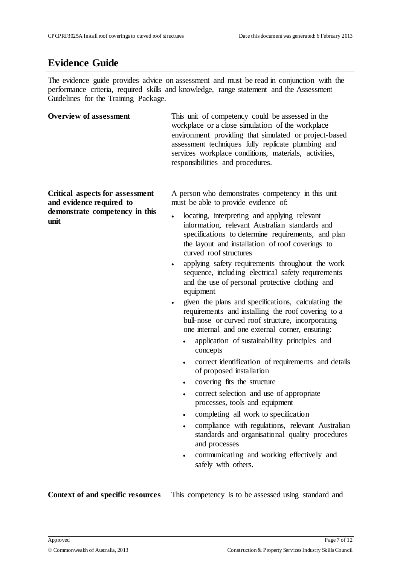#### **Evidence Guide**

The evidence guide provides advice on assessment and must be read in conjunction with the performance criteria, required skills and knowledge, range statement and the Assessment Guidelines for the Training Package.

| <b>Overview of assessment</b>                                                                         | This unit of competency could be assessed in the<br>workplace or a close simulation of the workplace<br>environment providing that simulated or project-based<br>assessment techniques fully replicate plumbing and<br>services workplace conditions, materials, activities,<br>responsibilities and procedures.                                                                                                                                                                                                                                                                                                                                                                                                   |
|-------------------------------------------------------------------------------------------------------|--------------------------------------------------------------------------------------------------------------------------------------------------------------------------------------------------------------------------------------------------------------------------------------------------------------------------------------------------------------------------------------------------------------------------------------------------------------------------------------------------------------------------------------------------------------------------------------------------------------------------------------------------------------------------------------------------------------------|
| Critical aspects for assessment<br>and evidence required to<br>demonstrate competency in this<br>unit | A person who demonstrates competency in this unit<br>must be able to provide evidence of:<br>locating, interpreting and applying relevant<br>$\bullet$<br>information, relevant Australian standards and<br>specifications to determine requirements, and plan<br>the layout and installation of roof coverings to<br>curved roof structures<br>applying safety requirements throughout the work<br>$\bullet$<br>sequence, including electrical safety requirements<br>and the use of personal protective clothing and<br>equipment<br>given the plans and specifications, calculating the<br>$\bullet$<br>requirements and installing the roof covering to a<br>bull-nose or curved roof structure, incorporating |

one internal and one external corner, ensuring:

- application of sustainability principles and concepts
- correct identification of requirements and details of proposed installation
- covering fits the structure
- correct selection and use of appropriate processes, tools and equipment
- completing all work to specification
- compliance with regulations, relevant Australian standards and organisational quality procedures and processes
- communicating and working effectively and safely with others.

**Context of and specific resources** This competency is to be assessed using standard and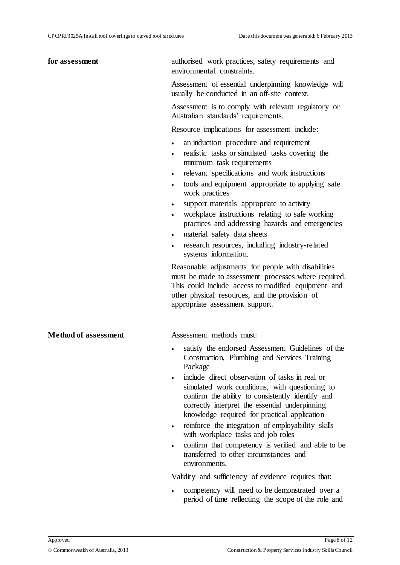| for assessment              | authorised work practices, safety requirements and<br>environmental constraints.                                                                                                                                                                        |
|-----------------------------|---------------------------------------------------------------------------------------------------------------------------------------------------------------------------------------------------------------------------------------------------------|
|                             | Assessment of essential underpinning knowledge will<br>usually be conducted in an off-site context.                                                                                                                                                     |
|                             | Assessment is to comply with relevant regulatory or<br>Australian standards' requirements.                                                                                                                                                              |
|                             | Resource implications for assessment include:                                                                                                                                                                                                           |
|                             | an induction procedure and requirement<br>$\bullet$<br>realistic tasks or simulated tasks covering the<br>minimum task requirements                                                                                                                     |
|                             | relevant specifications and work instructions<br>tools and equipment appropriate to applying safe<br>work practices                                                                                                                                     |
|                             | support materials appropriate to activity                                                                                                                                                                                                               |
|                             | workplace instructions relating to safe working<br>practices and addressing hazards and emergencies                                                                                                                                                     |
|                             | material safety data sheets<br>research resources, including industry-related<br>systems information.                                                                                                                                                   |
|                             | Reasonable adjustments for people with disabilities<br>must be made to assessment processes where required.<br>This could include access to modified equipment and<br>other physical resources, and the provision of<br>appropriate assessment support. |
| <b>Method of assessment</b> | Assessment methods must:                                                                                                                                                                                                                                |
|                             | satisfy the endorsed Assessment Guidelines of the<br>Construction, Plumbing and Services Training<br>Package                                                                                                                                            |
|                             | include direct observation of tasks in real or<br>simulated work conditions, with questioning to<br>confirm the ability to consistently identify and<br>correctly interpret the essential underpinning<br>knowledge required for practical application  |
|                             | reinforce the integration of employability skills<br>$\bullet$<br>with workplace tasks and job roles                                                                                                                                                    |
|                             | confirm that competency is verified and able to be<br>$\bullet$<br>transferred to other circumstances and<br>environments.                                                                                                                              |

Validity and sufficiency of evidence requires that:

 competency will need to be demonstrated over a period of time reflecting the scope of the role and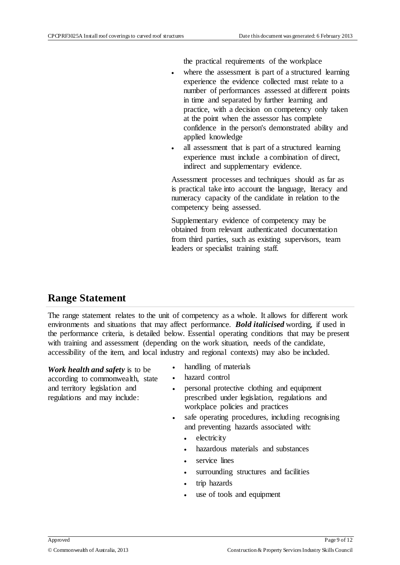the practical requirements of the workplace

- where the assessment is part of a structured learning experience the evidence collected must relate to a number of performances assessed at different points in time and separated by further learning and practice, with a decision on competency only taken at the point when the assessor has complete confidence in the person's demonstrated ability and applied knowledge
- all assessment that is part of a structured learning experience must include a combination of direct, indirect and supplementary evidence.

Assessment processes and techniques should as far as is practical take into account the language, literacy and numeracy capacity of the candidate in relation to the competency being assessed.

Supplementary evidence of competency may be obtained from relevant authenticated documentation from third parties, such as existing supervisors, team leaders or specialist training staff.

#### **Range Statement**

The range statement relates to the unit of competency as a whole. It allows for different work environments and situations that may affect performance. *Bold italicised* wording, if used in the performance criteria, is detailed below. Essential operating conditions that may be present with training and assessment (depending on the work situation, needs of the candidate, accessibility of the item, and local industry and regional contexts) may also be included.

*Work health and safety* is to be according to commonwealth, state and territory legislation and regulations and may include:

- handling of materials
- hazard control
- personal protective clothing and equipment prescribed under legislation, regulations and workplace policies and practices
- safe operating procedures, including recognising and preventing hazards associated with:
	- electricity
	- hazardous materials and substances
	- service lines
	- surrounding structures and facilities
	- trip hazards
	- use of tools and equipment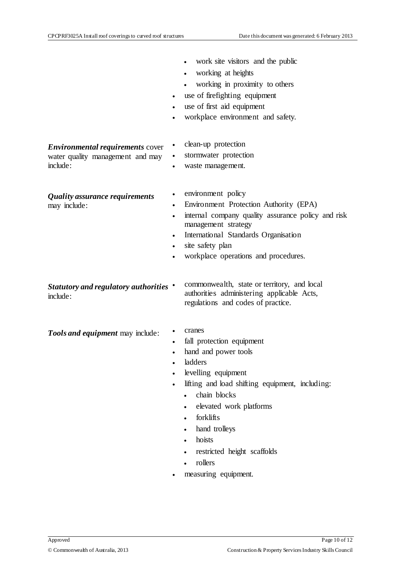|                                                                                         | work site visitors and the public<br>working at heights<br>working in proximity to others<br>use of firefighting equipment<br>use of first aid equipment<br>workplace environment and safety.<br>$\bullet$                                                                                            |
|-----------------------------------------------------------------------------------------|-------------------------------------------------------------------------------------------------------------------------------------------------------------------------------------------------------------------------------------------------------------------------------------------------------|
| <b>Environmental requirements cover</b><br>water quality management and may<br>include: | clean-up protection<br>stormwater protection<br>waste management.                                                                                                                                                                                                                                     |
| Quality assurance requirements<br>may include:                                          | environment policy<br>Environment Protection Authority (EPA)<br>$\bullet$<br>internal company quality assurance policy and risk<br>management strategy<br>International Standards Organisation<br>site safety plan<br>$\bullet$<br>workplace operations and procedures.                               |
| Statutory and regulatory authorities .<br>include:                                      | commonwealth, state or territory, and local<br>authorities administering applicable Acts,<br>regulations and codes of practice.                                                                                                                                                                       |
| Tools and equipment may include:                                                        | cranes<br>fall protection equipment<br>hand and power tools<br>ladders<br>levelling equipment<br>lifting and load shifting equipment, including:<br>chain blocks<br>elevated work platforms<br>forklifts<br>hand trolleys<br>hoists<br>restricted height scaffolds<br>rollers<br>measuring equipment. |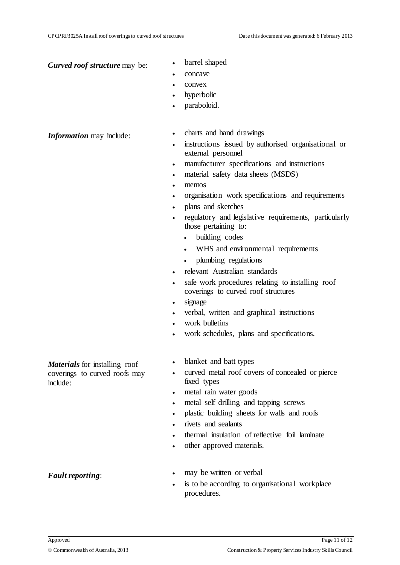**Curved roof structure** may be: **barrel shaped** 

- 
- concave
- convex
- hyperbolic
- paraboloid.

- *Information* may include: <br>
charts and hand drawings
	- instructions issued by authorised organisational or external personnel
	- manufacturer specifications and instructions
	- material safety data sheets (MSDS)
		- memos
	- organisation work specifications and requirements
	- plans and sketches
	- regulatory and legislative requirements, particularly those pertaining to:
		- building codes
		- WHS and environmental requirements
		- plumbing regulations
	- relevant Australian standards
	- safe work procedures relating to installing roof coverings to curved roof structures
	- signage
	- verbal, written and graphical instructions
	- work bulletins
	- work schedules, plans and specifications.
	- blanket and batt types
	- curved metal roof covers of concealed or pierce fixed types
	- metal rain water goods
	- metal self drilling and tapping screws
	- plastic building sheets for walls and roofs
	- rivets and sealants
	- thermal insulation of reflective foil laminate
	- other approved materials.
		- may be written or verbal
	- is to be according to organisational workplace procedures.

*Fault reporting*:

include:

*Materials* for installing roof coverings to curved roofs may